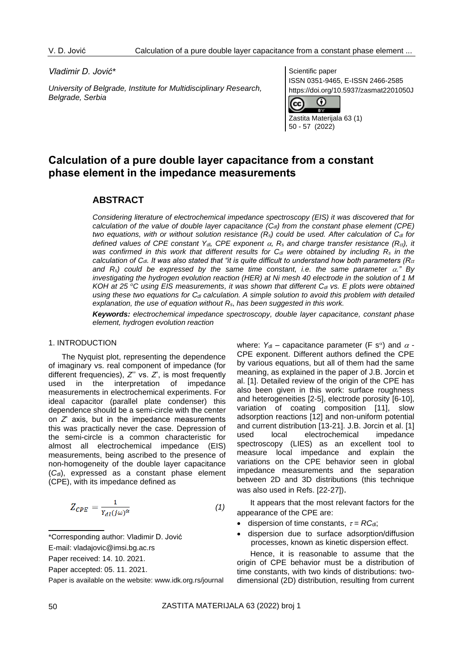#### *Vladimir D. Jović\**

*University of Belgrade, Institute for Multidisciplinary Research, Belgrade, Serbia*

Scientific paper ISSN 0351-9465, E-ISSN 2466-2585 https://doi.org/10.5937/zasmat2201050J



50 - 57 (2022)

# **Calculation of a pure double layer capacitance from a constant phase element in the impedance measurements**

# **ABSTRACT**

*Considering literature of electrochemical impedance spectroscopy (EIS) it was discovered that for calculation of the value of double layer capacitance (Cdl) from the constant phase element (CPE) two equations, with or without solution resistance*  $(R_s)$  *could be used. After calculation of*  $C_d$  *for defined values of CPE constant Y<sub>dl</sub>*, *CPE exponent*  $\alpha$ *, R<sub>s</sub> and charge transfer resistance (R<sub>ct</sub>), it was confirmed in this work that different results for Cdl were obtained by including R<sup>s</sup> in the calculation of Cdl. It was also stated that "it is quite difficult to understand how both parameters (Rct* and  $R_s$ *)* could be expressed by the same time constant, i.e. the same parameter  $\alpha$ ," By *investigating the hydrogen evolution reaction (HER) at Ni mesh 40 electrode in the solution of 1 M KOH at 25 <sup>o</sup>C using EIS measurements, it was shown that different Cdl vs. E plots were obtained using these two equations for Cdl calculation. A simple solution to avoid this problem with detailed explanation, the use of equation without Rs*, *has been suggested in this work.*

*Keywords: electrochemical impedance spectroscopy, double layer capacitance, constant phase element, hydrogen evolution reaction*

## 1. INTRODUCTION

The Nyquist plot, representing the dependence of imaginary vs. real component of impedance (for different frequencies), *Z*'' vs. *Z*', is most frequently used in the interpretation of impedance measurements in electrochemical experiments. For ideal capacitor (parallel plate condenser) this dependence should be a semi-circle with the center on *Z*' axis, but in the impedance measurements this was practically never the case. Depression of the semi-circle is a common characteristic for almost all electrochemical impedance (EIS) measurements, being ascribed to the presence of non-homogeneity of the double layer capacitance (C<sub>dl</sub>), expressed as a constant phase element (CPE), with its impedance defined as

$$
Z_{CPE} = \frac{1}{Y_{dl}(j\omega)^{\alpha}}
$$
 (1)

- \*Corresponding author: Vladimir D. Jović
- E-mail: vladajovic@imsi.bg.ac.rs

Paper received: 14. 10. 2021.

Paper accepted: 05. 11. 2021.

Paper is available on the website: [www.idk.org.rs/journal](http://www.idk.org.rs/journal)

where:  $Y_{\text{dl}}$  – capacitance parameter (F s<sup> $\alpha$ </sup>) and  $\alpha$  -CPE exponent. Different authors defined the CPE by various equations, but all of them had the same meaning, as explained in the paper of J.B. Jorcin et al. [1]. Detailed review of the origin of the CPE has also been given in this work: surface roughness and heterogeneities [2-5], electrode porosity [6-10], variation of coating composition [11], slow adsorption reactions [12] and non-uniform potential and current distribution [13-21]. J.B. Jorcin et al. [1] used local electrochemical impedance spectroscopy (LIES) as an excellent tool to measure local impedance and explain the variations on the CPE behavior seen in global impedance measurements and the separation between 2D and 3D distributions (this technique was also used in Refs. [22-27]).

It appears that the most relevant factors for the appearance of the CPE are:

- dispersion of time constants,  $\tau = RC_{\text{d}}$ ;
- dispersion due to surface adsorption/diffusion processes, known as kinetic dispersion effect.

Hence, it is reasonable to assume that the origin of CPE behavior must be a distribution of time constants, with two kinds of distributions: twodimensional (2D) distribution, resulting from current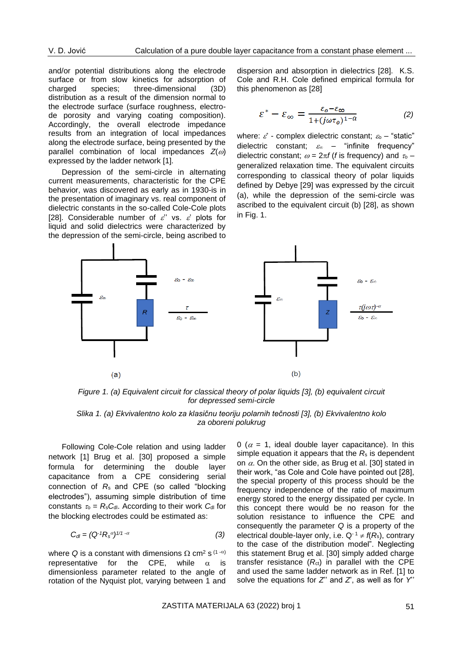and/or potential distributions along the electrode surface or from slow kinetics for adsorption of charged species; three-dimensional (3D) distribution as a result of the dimension normal to the electrode surface (surface roughness, electrode porosity and varying coating composition). Accordingly, the overall electrode impedance results from an integration of local impedances along the electrode surface, being presented by the parallel combination of local impedances  $Z(\omega)$ expressed by the ladder network [1].

Depression of the semi-circle in alternating current measurements, characteristic for the CPE behavior, was discovered as early as in 1930-is in the presentation of imaginary vs. real component of dielectric constants in the so-called Cole-Cole plots [28]. Considerable number of  $\varepsilon$ " vs.  $\varepsilon$ ' plots for liquid and solid dielectrics were characterized by the depression of the semi-circle, being ascribed to

dispersion and absorption in dielectrics [28]. K.S. Cole and R.H. Cole defined empirical formula for this phenomenon as [28]

$$
\varepsilon^* - \varepsilon_{\infty} = \frac{\varepsilon_0 - \varepsilon_{\infty}}{1 + (j\omega\tau_0)^{1-\alpha}} \tag{2}
$$

where:  $\vec{\varepsilon}$  - complex dielectric constant;  $\varepsilon_0$  – "static" dielectric constant;  $\varepsilon_{\infty}$  – "infinite frequency" dielectric constant;  $\omega = 2\pi f$  (*f* is frequency) and  $\tau_0$  – generalized relaxation time. The equivalent circuits corresponding to classical theory of polar liquids defined by Debye [29] was expressed by the circuit (a), while the depression of the semi-circle was ascribed to the equivalent circuit (b) [28], as shown in Fig. 1.



*Figure 1. (a) Equivalent circuit for classical theory of polar liquids [3], (b) equivalent circuit for depressed semi-circle*

# *Slika 1. (a) Ekvivalentno kolo za klasičnu teoriju polarnih tečnosti [3], (b) Ekvivalentno kolo za oboreni polukrug*

Following Cole-Cole relation and using ladder network [1] Brug et al. [30] proposed a simple formula for determining the double layer capacitance from a CPE considering serial connection of *R*s and CPE (so called "blocking electrodes"), assuming simple distribution of time constants  $\tau_0 = R_\text{s}C_{\text{dl}}$ . According to their work  $C_{\text{dl}}$  for the blocking electrodes could be estimated as:

$$
C_{dl} = (Q^{-1}R_s^{\alpha})^{1/1-\alpha} \tag{3}
$$

where Q is a constant with dimensions  $\Omega$  cm<sup>2</sup> s<sup>(1- $\alpha$ )</sup> representative for the CPE, while  $\alpha$  is dimensionless parameter related to the angle of rotation of the Nyquist plot, varying between 1 and 0 ( $\alpha$  = 1, ideal double layer capacitance). In this simple equation it appears that the *R*<sup>s</sup> is dependent on  $\alpha$ . On the other side, as Brug et al. [30] stated in their work, "as Cole and Cole have pointed out [28], the special property of this process should be the frequency independence of the ratio of maximum energy stored to the energy dissipated per cycle. In this concept there would be no reason for the solution resistance to influence the CPE and consequently the parameter *Q* is a property of the electrical double-layer only, i.e.  $Q^{-1} \neq f(R_s)$ , contrary to the case of the distribution model". Neglecting this statement Brug et al. [30] simply added charge transfer resistance (R<sub>ct</sub>) in parallel with the CPE and used the same ladder network as in Ref. [1] to solve the equations for  $Z'$  and  $Z$ , as well as for  $Y'$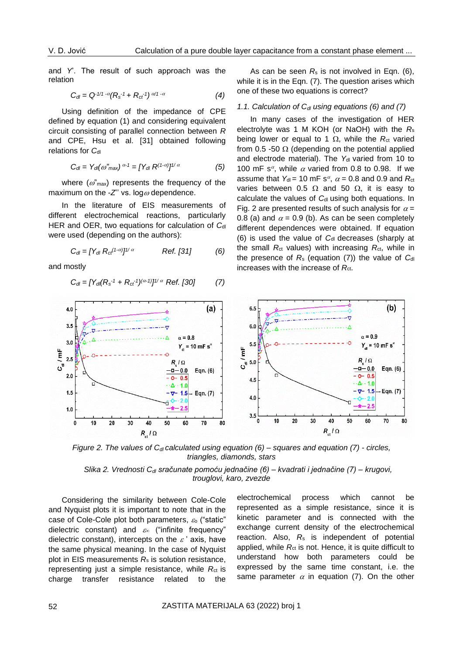and *Y*'. The result of such approach was the relation

$$
C_{dl} = Q^{-1/1 - \alpha} (R_s^{-1} + R_{ct}^{-1})^{\alpha/1 - \alpha}
$$
 (4)

Using definition of the impedance of CPE defined by equation (1) and considering equivalent circuit consisting of parallel connection between *R* and CPE, Hsu et al. [31] obtained following relations for C<sub>dl</sub>

$$
C_{dl} = Y_{dl}(\omega''_{max})^{\alpha - 1} = [Y_{dl} R^{(1 - \alpha)}]^{1/\alpha}
$$
 (5)

where  $(\omega^r)$  represents the frequency of the maximum on the  $-Z'$ ' vs. log  $\omega$  dependence.

In the literature of EIS measurements of different electrochemical reactions, particularly HER and OER, two equations for calculation of C<sub>dl</sub> were used (depending on the authors):

$$
C_{dl} = [Y_{dl} R_{ct}^{(1-\alpha)}]^{1/\alpha} \qquad \text{Ref. [31]} \tag{6}
$$

and mostly

$$
C_{dl} = [Y_{dl}(R_s^{-1} + R_{ct}^{-1})^{(\alpha-1)}]^{1/\alpha} \text{ Ref. [30]} \tag{7}
$$

As can be seen *R*<sup>s</sup> is not involved in Eqn. (6), while it is in the Eqn. (7). The question arises which one of these two equations is correct?

# *1.1. Calculation of Cdl using equations (6) and (7)*

In many cases of the investigation of HER electrolyte was 1 M KOH (or NaOH) with the *R*<sup>s</sup> being lower or equal to 1  $\Omega$ , while the *R*<sub>ct</sub> varied from 0.5 -50  $\Omega$  (depending on the potential applied and electrode material). The Y<sub>dl</sub> varied from 10 to 100 mF s<sup> $\alpha$ </sup>, while  $\alpha$  varied from 0.8 to 0.98. If we assume that  $Y_{\text{dl}} = 10 \text{ mF s}^{\alpha}$ ,  $\alpha = 0.8$  and 0.9 and  $R_{\text{cl}}$ varies between 0.5  $\Omega$  and 50  $\Omega$ , it is easy to calculate the values of C<sub>dl</sub> using both equations. In Fig. 2 are presented results of such analysis for  $\alpha =$ 0.8 (a) and  $\alpha$  = 0.9 (b). As can be seen completely different dependences were obtained. If equation (6) is used the value of C<sub>dl</sub> decreases (sharply at the small  $R_{ct}$  values) with increasing  $R_{ct}$ , while in the presence of  $R_s$  (equation (7)) the value of  $C_{\rm dl}$ increases with the increase of R<sub>ct</sub>.



*Figure* 2. The values of C<sub>dl</sub> calculated using equation (6) – squares and equation (7) - circles, *triangles, diamonds, stars*

*Slika 2. Vrednosti Cdl sračunate pomoću jednačine (6) – kvadrati i jednačine (7) – krugovi, trouglovi, karo, zvezde*

Considering the similarity between Cole-Cole and Nyquist plots it is important to note that in the case of Cole-Cole plot both parameters,  $\varepsilon_0$  ("static" dielectric constant) and  $\varepsilon_{\infty}$  ("infinite frequency" dielectric constant), intercepts on the  $\varepsilon$ ' axis, have the same physical meaning. In the case of Nyquist plot in EIS measurements *R*<sup>s</sup> is solution resistance, representing just a simple resistance, while R<sub>ct</sub> is charge transfer resistance related to the electrochemical process which cannot be represented as a simple resistance, since it is kinetic parameter and is connected with the exchange current density of the electrochemical reaction. Also, *R*<sup>s</sup> is independent of potential applied, while *R*ct is not. Hence, it is quite difficult to understand how both parameters could be expressed by the same time constant, i.e. the same parameter  $\alpha$  in equation (7). On the other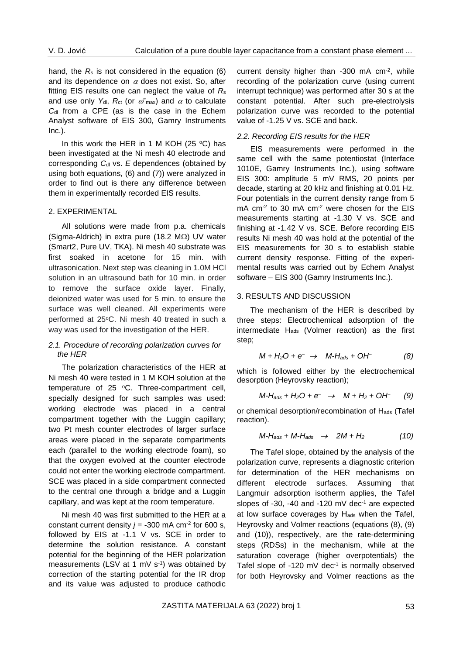hand, the  $R_s$  is not considered in the equation  $(6)$ and its dependence on  $\alpha$  does not exist. So, after fitting EIS results one can neglect the value of *R*<sup>s</sup> and use only  $Y_{\text{dl}}$ ,  $R_{\text{ct}}$  (or  $\omega^{\text{v}}$ <sub>max</sub>) and  $\alpha$  to calculate *C*dl from a CPE (as is the case in the Echem Analyst software of EIS 300, Gamry Instruments Inc.).

In this work the HER in 1 M KOH (25  $\degree$ C) has been investigated at the Ni mesh 40 electrode and corresponding C<sub>dl</sub> vs. *E* dependences (obtained by using both equations, (6) and (7)) were analyzed in order to find out is there any difference between them in experimentally recorded EIS results.

## 2. EXPERIMENTAL

All solutions were made from p.a. chemicals (Sigma-Aldrich) in extra pure (18.2  $M<sub>\Omega</sub>$ ) UV water (Smart2, Pure UV, TKA). Ni mesh 40 substrate was first soaked in acetone for 15 min. with ultrasonication. Next step was cleaning in 1.0M HCl solution in an ultrasound bath for 10 min. in order to remove the surface oxide layer. Finally, deionized water was used for 5 min. to ensure the surface was well cleaned. All experiments were performed at 25°C. Ni mesh 40 treated in such a way was used for the investigation of the HER.

## *2.1. Procedure of recording polarization curves for the HER*

The polarization characteristics of the HER at Ni mesh 40 were tested in 1 M KOH solution at the temperature of 25 °C. Three-compartment cell, specially designed for such samples was used: working electrode was placed in a central compartment together with the Luggin capillary; two Pt mesh counter electrodes of larger surface areas were placed in the separate compartments each (parallel to the working electrode foam), so that the oxygen evolved at the counter electrode could not enter the working electrode compartment. SCE was placed in a side compartment connected to the central one through a bridge and a Luggin capillary, and was kept at the room temperature.

Ni mesh 40 was first submitted to the HER at a constant current density  $j = -300$  mA cm<sup>-2</sup> for 600 s, followed by EIS at -1.1 V vs. SCE in order to determine the solution resistance. A constant potential for the beginning of the HER polarization measurements (LSV at 1 mV  $s^{-1}$ ) was obtained by correction of the starting potential for the IR drop and its value was adjusted to produce cathodic

current density higher than -300 mA cm-2 , while recording of the polarization curve (using current interrupt technique) was performed after 30 s at the constant potential. After such pre-electrolysis polarization curve was recorded to the potential value of -1.25 V vs. SCE and back.

## *2.2. Recording EIS results for the HER*

EIS measurements were performed in the same cell with the same potentiostat (Interface 1010E, Gamry Instruments Inc.), using software EIS 300: amplitude 5 mV RMS, 20 points per decade, starting at 20 kHz and finishing at 0.01 Hz. Four potentials in the current density range from 5 mA cm<sup>-2</sup> to 30 mA cm<sup>-2</sup> were chosen for the EIS measurements starting at -1.30 V vs. SCE and finishing at -1.42 V vs. SCE. Before recording EIS results Ni mesh 40 was hold at the potential of the EIS measurements for 30 s to establish stable current density response. Fitting of the experimental results was carried out by Echem Analyst software – EIS 300 (Gamry Instruments Inc.).

## 3. RESULTS AND DISCUSSION

The mechanism of the HER is described by three steps: Electrochemical adsorption of the intermediate Hads (Volmer reaction) as the first step;

$$
M + H_2O + e^- \rightarrow M - H_{ads} + OH \tag{8}
$$

which is followed either by the electrochemical desorption (Heyrovsky reaction);

$$
M-H_{ads} + H_2O + e^- \rightarrow M + H_2 + OH \quad (9)
$$

or chemical desorption/recombination of Hads (Tafel reaction).

$$
M-H_{ads} + M-H_{ads} \rightarrow 2M + H_2 \tag{10}
$$

The Tafel slope, obtained by the analysis of the polarization curve, represents a diagnostic criterion for determination of the HER mechanisms on different electrode surfaces. Assuming that Langmuir adsorption isotherm applies, the Tafel slopes of -30, -40 and -120 mV dec<sup>-1</sup> are expected at low surface coverages by Hads when the Tafel, Heyrovsky and Volmer reactions (equations (8), (9) and (10)), respectively, are the rate-determining steps (RDSs) in the mechanism, while at the saturation coverage (higher overpotentials) the Tafel slope of  $-120$  mV dec $-1$  is normally observed for both Heyrovsky and Volmer reactions as the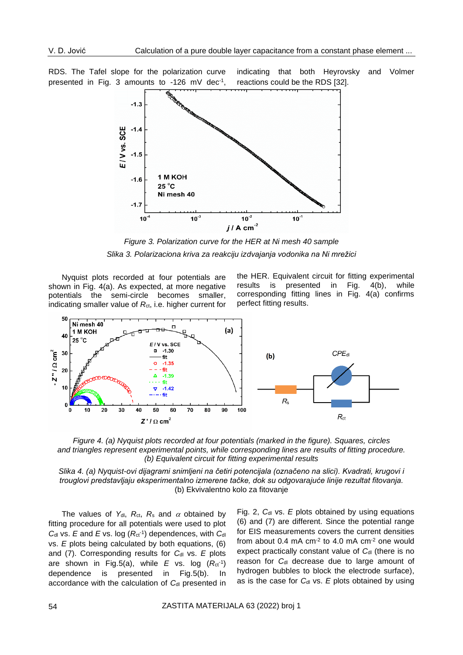RDS. The Tafel slope for the polarization curve presented in Fig. 3 amounts to -126 mV dec<sup>-1</sup>, indicating that both Heyrovsky and Volmer reactions could be the RDS [32].



*Figure 3. Polarization curve for the HER at Ni mesh 40 sample Slika 3. Polarizaciona kriva za reakciju izdvajanja vodonika na Ni mrežici*

Nyquist plots recorded at four potentials are shown in Fig. 4(a). As expected, at more negative potentials the semi-circle becomes smaller, indicating smaller value of R<sub>ct</sub>, i.e. higher current for the HER. Equivalent circuit for fitting experimental results is presented in Fig. 4(b), while corresponding fitting lines in Fig. 4(a) confirms perfect fitting results.



*Figure 4. (a) Nyquist plots recorded at four potentials (marked in the figure). Squares, circles and triangles represent experimental points, while corresponding lines are results of fitting procedure. (b) Equivalent circuit for fitting experimental results*

*Slika 4. (a) Nyquist-ovi dijagrami snimljeni na četiri potencijala (označeno na slici). Kvadrati, krugovi i trouglovi predstavljaju eksperimentalno izmerene tačke, dok su odgovarajuće linije rezultat fitovanja.* (b) Ekvivalentno kolo za fitovanje

The values of  $Y_{dl}$ ,  $R_{ct}$ ,  $R_s$  and  $\alpha$  obtained by fitting procedure for all potentials were used to plot *C*dl vs. *E* and *E* vs. log (*R*ct-1 ) dependences, with *C*dl vs. *E* plots being calculated by both equations, (6) and (7). Corresponding results for *Cdl vs. E plots* are shown in Fig.5(a), while *E* vs. log (*R*ct-1 ) dependence is presented in Fig.5(b). In accordance with the calculation of C<sub>dl</sub> presented in

Fig. 2, C<sub>dl</sub> vs. *E* plots obtained by using equations (6) and (7) are different. Since the potential range for EIS measurements covers the current densities from about  $0.4$  mA cm<sup>-2</sup> to  $4.0$  mA cm<sup>-2</sup> one would expect practically constant value of C<sub>dl</sub> (there is no reason for C<sub>dl</sub> decrease due to large amount of hydrogen bubbles to block the electrode surface), as is the case for C<sub>dl</sub> vs. *E* plots obtained by using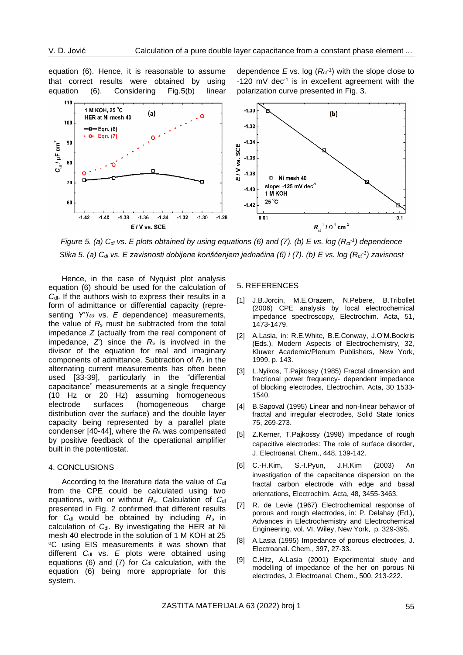equation (6). Hence, it is reasonable to assume that correct results were obtained by using equation (6). Considering Fig.5(b) linear

dependence  $E$  vs. log  $(R<sub>ct</sub><sup>-1</sup>)$  with the slope close to  $-120$  mV dec<sup>-1</sup> is in excellent agreement with the polarization curve presented in Fig. 3.



*Figure 5. (a) Cdl vs. E plots obtained by using equations (6) and (7). (b) E vs. log (Rct-1 ) dependence Slika 5. (a) Cdl vs. E zavisnosti dobijene korišćenjem jednačina (6) i (7). (b) E vs. log (Rct-1 ) zavisnost*

Hence, in the case of Nyquist plot analysis equation (6) should be used for the calculation of *C*<sub>d</sub>. If the authors wish to express their results in a form of admittance or differential capacity (representing  $Y''/\omega$  vs. *E* dependence) measurements, the value of *R*<sup>s</sup> must be subtracted from the total impedance *Z* (actually from the real component of impedance, *Z'*) since the *R*<sup>s</sup> is involved in the divisor of the equation for real and imaginary components of admittance. Subtraction of *R*<sup>s</sup> in the alternating current measurements has often been used [33-39], particularly in the "differential capacitance" measurements at a single frequency (10 Hz or 20 Hz) assuming homogeneous electrode surfaces (homogeneous charge distribution over the surface) and the double layer capacity being represented by a parallel plate condenser [40-44], where the *R*<sup>s</sup> was compensated by positive feedback of the operational amplifier built in the potentiostat.

#### 4. CONCLUSIONS

According to the literature data the value of C<sub>dl</sub> from the CPE could be calculated using two equations, with or without *R*s. Calculation of *C*dl presented in Fig. 2 confirmed that different results for  $C_{\text{dl}}$  would be obtained by including  $R_s$  in calculation of *C*dl. By investigating the HER at Ni mesh 40 electrode in the solution of 1 M KOH at 25 <sup>o</sup>C using EIS measurements it was shown that different C<sub>dl</sub> vs. E plots were obtained using equations (6) and (7) for C<sub>dl</sub> calculation, with the equation (6) being more appropriate for this system.

#### 5. REFERENCES

- [1] J.B.Jorcin, M.E.Orazem, N.Pebere, B.Tribollet (2006) CPE analysis by local electrochemical impedance spectroscopy, Electrochim. Acta, 51, 1473-1479.
- [2] A.Lasia, in: R.E.White, B.E.Conway, J.O'M.Bockris (Eds.), Modern Aspects of Electrochemistry, 32, Kluwer Academic/Plenum Publishers, New York, 1999, p. 143.
- [3] L.Nyikos, T.Pajkossy (1985) Fractal dimension and fractional power frequency- dependent impedance of blocking electrodes, Electrochim. Acta, 30 1533- 1540.
- [4] B.Sapoval (1995) Linear and non-linear behavior of fractal and irregular electrodes, Solid State Ionics 75, 269-273.
- [5] Z.Kerner, T.Pajkossy (1998) Impedance of rough capacitive electrodes: The role of surface disorder, J. Electroanal. Chem., 448, 139-142.
- [6] C.-H.Kim, S.-I.Pyun, J.H.Kim (2003) An investigation of the capacitance dispersion on the fractal carbon electrode with edge and basal orientations, Electrochim. Acta, 48, 3455-3463.
- [7] R. de Levie (1967) Electrochemical response of porous and rough electrodes, in: P. Delahay (Ed.), Advances in Electrochemistry and Electrochemical Engineering, vol. VI, Wiley, New York, p. 329-395.
- [8] A.Lasia (1995) Impedance of porous electrodes, J. Electroanal. Chem., 397, 27-33.
- [9] C.Hitz, A.Lasia (2001) Experimental study and modelling of impedance of the her on porous Ni electrodes, J. Electroanal. Chem., 500, 213-222.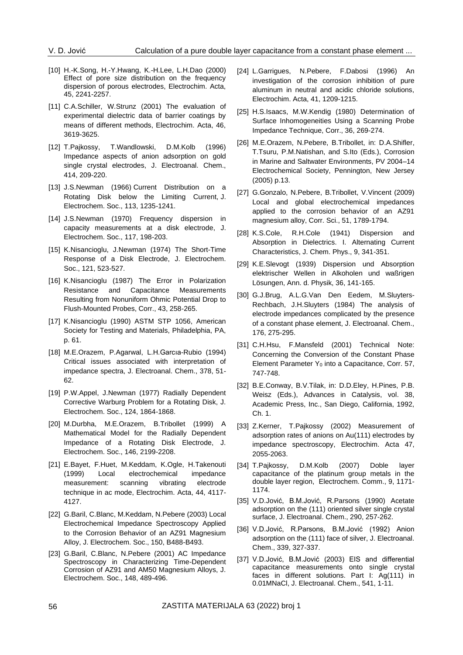- [10] H.-K.Song, H.-Y.Hwang, K.-H.Lee, L.H.Dao (2000) Effect of pore size distribution on the frequency dispersion of porous electrodes, Electrochim. Acta, 45, 2241-2257.
- [11] C.A.Schiller, W.Strunz (2001) The evaluation of experimental dielectric data of barrier coatings by means of different methods, Electrochim. Acta, 46, 3619-3625.
- [12] T.Pajkossy, T.Wandlowski, D.M.Kolb (1996) Impedance aspects of anion adsorption on gold single crystal electrodes, J. Electroanal. Chem., 414, 209-220.
- [13] J.S.Newman (1966) Current Distribution on a Rotating Disk below the Limiting Current, J. Electrochem. Soc., 113, 1235-1241.
- [14] J.S.Newman (1970) Frequency dispersion in capacity measurements at a disk electrode, J. Electrochem. Soc., 117, 198-203.
- [15] K.Nisancioglu, J.Newman (1974) The Short-Time Response of a Disk Electrode, J. Electrochem. Soc., 121, 523-527.
- [16] K.Nisancioglu (1987) The Error in Polarization Resistance and Capacitance Measurements Resulting from Nonuniform Ohmic Potential Drop to Flush-Mounted Probes, Corr., 43, 258-265.
- [17] K.Nisancioglu (1990) ASTM STP 1056, American Society for Testing and Materials, Philadelphia, PA, p. 61.
- [18] M.E.Orazem, P.Agarwal, L.H.Garcıa-Rubio (1994) Critical issues associated with interpretation of impedance spectra, J. Electroanal. Chem., 378, 51- 62.
- [19] P.W.Appel, J.Newman (1977) Radially Dependent Corrective Warburg Problem for a Rotating Disk, J. Electrochem. Soc., 124, 1864-1868.
- [20] M.Durbha, M.E.Orazem, B.Tribollet (1999) A Mathematical Model for the Radially Dependent Impedance of a Rotating Disk Electrode, J. Electrochem. Soc., 146, 2199-2208.
- [21] E.Bayet, F.Huet, M.Keddam, K.Ogle, H.Takenouti (1999) Local electrochemical impedance measurement: scanning vibrating electrode technique in ac mode, Electrochim. Acta, 44, 4117- 4127.
- [22] G.Baril, C.Blanc, M.Keddam, N.Pebere (2003) Local Electrochemical Impedance Spectroscopy Applied to the Corrosion Behavior of an AZ91 Magnesium Alloy, J. Electrochem. Soc., 150, B488-B493.
- [23] G.Baril, C.Blanc, N.Pebere (2001) AC Impedance Spectroscopy in Characterizing Time-Dependent Corrosion of AZ91 and AM50 Magnesium Alloys, J. Electrochem. Soc., 148, 489-496.
- [24] L.Garrigues, N.Pebere, F.Dabosi (1996) An investigation of the corrosion inhibition of pure aluminum in neutral and acidic chloride solutions, Electrochim. Acta, 41, 1209-1215.
- [25] H.S.Isaacs, M.W.Kendig (1980) Determination of Surface Inhomogeneities Using a Scanning Probe Impedance Technique, Corr., 36, 269-274.
- [26] M.E.Orazem, N.Pebere, B.Tribollet, in: D.A.Shifler, T.Tsuru, P.M.Natishan, and S.Ito (Eds.), Corrosion in Marine and Saltwater Environments, PV 2004–14 Electrochemical Society, Pennington, New Jersey (2005) p.13.
- [27] G.Gonzalo, N.Pebere, B.Tribollet, V.Vincent (2009) Local and global electrochemical impedances applied to the corrosion behavior of an AZ91 magnesium alloy, Corr. Sci., 51, 1789-1794.
- [28] K.S.Cole, R.H.Cole (1941) Dispersion and Absorption in Dielectrics. I. Alternating Current Characteristics, J. Chem. Phys., 9, 341-351.
- [29] K.E.Slevogt (1939) Dispersion und Absorption elektrischer Wellen in Alkoholen und waßrigen Lösungen, Ann. d. Physik, 36, 141-165.
- [30] G.J.Brug, A.L.G.Van Den Eedem, M.Sluyters-Rechbach, J.H.Sluyters (1984) The analysis of electrode impedances complicated by the presence of a constant phase element, J. Electroanal. Chem., 176, 275-295.
- [31] C.H.Hsu, F.Mansfeld (2001) Technical Note: Concerning the Conversion of the Constant Phase Element Parameter  $Y_0$  into a Capacitance, Corr. 57, 747-748.
- [32] B.E.Conway, B.V.Tilak, in: D.D.Eley, H.Pines, P.B. Weisz (Eds.), Advances in Catalysis, vol. 38, Academic Press, Inc., San Diego, California, 1992, Ch. 1.
- [33] Z.Kerner, T.Pajkossy (2002) Measurement of adsorption rates of anions on Au(111) electrodes by impedance spectroscopy, Electrochim. Acta 47, 2055-2063.
- [34] T.Pajkossy, D.M.Kolb (2007) Doble layer capacitance of the platinum group metals in the double layer region, Electrochem. Comm., 9, 1171- 1174.
- [35] V.D.Jović, B.M.Jović, R.Parsons (1990) Acetate adsorption on the (111) oriented silver single crystal surface, J. Electroanal. Chem., 290, 257-262.
- [36] V.D.Jović, R.Parsons, B.M.Jović (1992) Anion adsorption on the (111) face of silver, J. Electroanal. Chem., 339, 327-337.
- [37] V.D.Jović, B.M.Jović (2003) EIS and differential capacitance measurements onto single crystal faces in different solutions. Part I: Ag(111) in 0.01MNaCl, J. Electroanal. Chem., 541, 1-11.